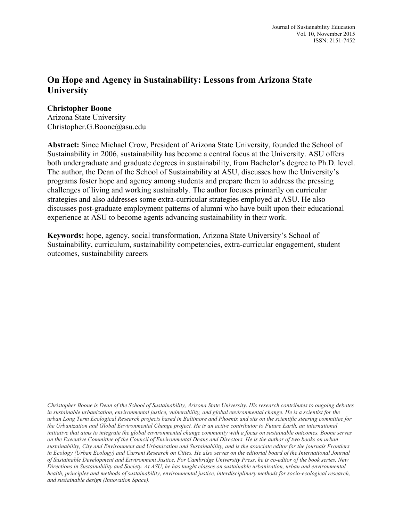# **On Hope and Agency in Sustainability: Lessons from Arizona State University**

#### **Christopher Boone**

Arizona State University Christopher.G.Boone@asu.edu

**Abstract:** Since Michael Crow, President of Arizona State University, founded the School of Sustainability in 2006, sustainability has become a central focus at the University. ASU offers both undergraduate and graduate degrees in sustainability, from Bachelor's degree to Ph.D. level. The author, the Dean of the School of Sustainability at ASU, discusses how the University's programs foster hope and agency among students and prepare them to address the pressing challenges of living and working sustainably. The author focuses primarily on curricular strategies and also addresses some extra-curricular strategies employed at ASU. He also discusses post-graduate employment patterns of alumni who have built upon their educational experience at ASU to become agents advancing sustainability in their work.

**Keywords:** hope, agency, social transformation, Arizona State University's School of Sustainability, curriculum, sustainability competencies, extra-curricular engagement, student outcomes, sustainability careers

Christopher Boone is Dean of the School of Sustainability, Arizona State University. His research contributes to ongoing debates in sustainable urbanization, environmental justice, vulnerability, and global environmental change. He is a scientist for the urban Long Term Ecological Research projects based in Baltimore and Phoenix and sits on the scientific steering committee for the Urbanization and Global Environmental Change project. He is an active contributor to Future Earth, an international initiative that aims to integrate the global environmental change community with a focus on sustainable outcomes. Boone serves on the Executive Committee of the Council of Environmental Deans and Directors. He is the author of two books on urban sustainability. City and Environment and Urbanization and Sustainability, and is the associate editor for the journals Frontiers in Ecology (Urban Ecology) and Current Research on Cities. He also serves on the editorial board of the International Journal of Sustainable Development and Environment Justice. For Cambridge University Press, he is co-editor of the book series, New Directions in Sustainability and Society. At ASU, he has taught classes on sustainable urbanization, urban and environmental *health, principles and methods of sustainability, environmental justice, interdisciplinary methods for socio-ecological research, and sustainable design (Innovation Space).*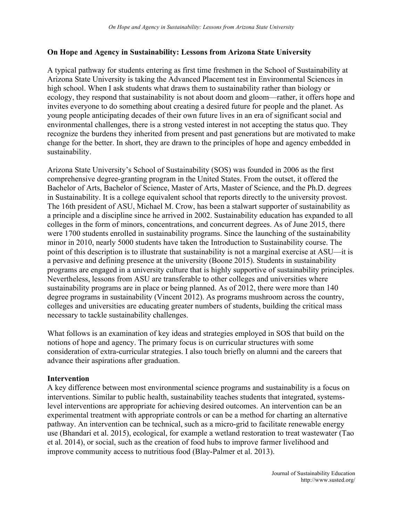## **On Hope and Agency in Sustainability: Lessons from Arizona State University**

A typical pathway for students entering as first time freshmen in the School of Sustainability at Arizona State University is taking the Advanced Placement test in Environmental Sciences in high school. When I ask students what draws them to sustainability rather than biology or ecology, they respond that sustainability is not about doom and gloom—rather, it offers hope and invites everyone to do something about creating a desired future for people and the planet. As young people anticipating decades of their own future lives in an era of significant social and environmental challenges, there is a strong vested interest in not accepting the status quo. They recognize the burdens they inherited from present and past generations but are motivated to make change for the better. In short, they are drawn to the principles of hope and agency embedded in sustainability.

Arizona State University's School of Sustainability (SOS) was founded in 2006 as the first comprehensive degree-granting program in the United States. From the outset, it offered the Bachelor of Arts, Bachelor of Science, Master of Arts, Master of Science, and the Ph.D. degrees in Sustainability. It is a college equivalent school that reports directly to the university provost. The 16th president of ASU, Michael M. Crow, has been a stalwart supporter of sustainability as a principle and a discipline since he arrived in 2002. Sustainability education has expanded to all colleges in the form of minors, concentrations, and concurrent degrees. As of June 2015, there were 1700 students enrolled in sustainability programs. Since the launching of the sustainability minor in 2010, nearly 5000 students have taken the Introduction to Sustainability course. The point of this description is to illustrate that sustainability is not a marginal exercise at ASU—it is a pervasive and defining presence at the university (Boone 2015). Students in sustainability programs are engaged in a university culture that is highly supportive of sustainability principles. Nevertheless, lessons from ASU are transferable to other colleges and universities where sustainability programs are in place or being planned. As of 2012, there were more than 140 degree programs in sustainability (Vincent 2012). As programs mushroom across the country, colleges and universities are educating greater numbers of students, building the critical mass necessary to tackle sustainability challenges.

What follows is an examination of key ideas and strategies employed in SOS that build on the notions of hope and agency. The primary focus is on curricular structures with some consideration of extra-curricular strategies. I also touch briefly on alumni and the careers that advance their aspirations after graduation.

#### **Intervention**

A key difference between most environmental science programs and sustainability is a focus on interventions. Similar to public health, sustainability teaches students that integrated, systemslevel interventions are appropriate for achieving desired outcomes. An intervention can be an experimental treatment with appropriate controls or can be a method for charting an alternative pathway. An intervention can be technical, such as a micro-grid to facilitate renewable energy use (Bhandari et al. 2015), ecological, for example a wetland restoration to treat wastewater (Tao et al. 2014), or social, such as the creation of food hubs to improve farmer livelihood and improve community access to nutritious food (Blay-Palmer et al. 2013).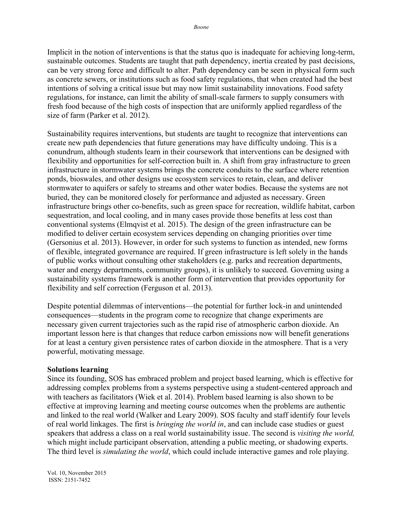Implicit in the notion of interventions is that the status quo is inadequate for achieving long-term, sustainable outcomes. Students are taught that path dependency, inertia created by past decisions, can be very strong force and difficult to alter. Path dependency can be seen in physical form such as concrete sewers, or institutions such as food safety regulations, that when created had the best intentions of solving a critical issue but may now limit sustainability innovations. Food safety regulations, for instance, can limit the ability of small-scale farmers to supply consumers with fresh food because of the high costs of inspection that are uniformly applied regardless of the size of farm (Parker et al. 2012).

Sustainability requires interventions, but students are taught to recognize that interventions can create new path dependencies that future generations may have difficulty undoing. This is a conundrum, although students learn in their coursework that interventions can be designed with flexibility and opportunities for self-correction built in. A shift from gray infrastructure to green infrastructure in stormwater systems brings the concrete conduits to the surface where retention ponds, bioswales, and other designs use ecosystem services to retain, clean, and deliver stormwater to aquifers or safely to streams and other water bodies. Because the systems are not buried, they can be monitored closely for performance and adjusted as necessary. Green infrastructure brings other co-benefits, such as green space for recreation, wildlife habitat, carbon sequestration, and local cooling, and in many cases provide those benefits at less cost than conventional systems (Elmqvist et al. 2015). The design of the green infrastructure can be modified to deliver certain ecosystem services depending on changing priorities over time (Gersonius et al. 2013). However, in order for such systems to function as intended, new forms of flexible, integrated governance are required. If green infrastructure is left solely in the hands of public works without consulting other stakeholders (e.g. parks and recreation departments, water and energy departments, community groups), it is unlikely to succeed. Governing using a sustainability systems framework is another form of intervention that provides opportunity for flexibility and self correction (Ferguson et al. 2013).

Despite potential dilemmas of interventions—the potential for further lock-in and unintended consequences—students in the program come to recognize that change experiments are necessary given current trajectories such as the rapid rise of atmospheric carbon dioxide. An important lesson here is that changes that reduce carbon emissions now will benefit generations for at least a century given persistence rates of carbon dioxide in the atmosphere. That is a very powerful, motivating message.

#### **Solutions learning**

Since its founding, SOS has embraced problem and project based learning, which is effective for addressing complex problems from a systems perspective using a student-centered approach and with teachers as facilitators (Wiek et al. 2014). Problem based learning is also shown to be effective at improving learning and meeting course outcomes when the problems are authentic and linked to the real world (Walker and Leary 2009). SOS faculty and staff identify four levels of real world linkages. The first is *bringing the world in*, and can include case studies or guest speakers that address a class on a real world sustainability issue. The second is *visiting the world,* which might include participant observation, attending a public meeting, or shadowing experts. The third level is *simulating the world*, which could include interactive games and role playing.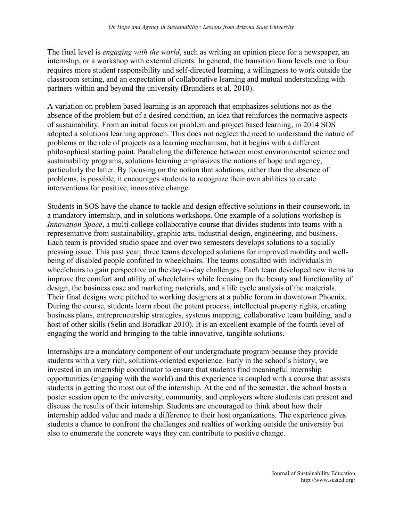The final level is *engaging with the world*, such as writing an opinion piece for a newspaper, an internship, or a workshop with external clients. In general, the transition from levels one to four requires more student responsibility and self-directed learning, a willingness to work outside the classroom setting, and an expectation of collaborative learning and mutual understanding with partners within and beyond the university (Brundiers et al. 2010).

A variation on problem based learning is an approach that emphasizes solutions not as the absence of the problem but of a desired condition, an idea that reinforces the normative aspects of sustainability. From an initial focus on problem and project based learning, in 2014 SOS adopted a solutions learning approach. This does not neglect the need to understand the nature of problems or the role of projects as a learning mechanism, but it begins with a different philosophical starting point. Paralleling the difference between most environmental science and sustainability programs, solutions learning emphasizes the notions of hope and agency, particularly the latter. By focusing on the notion that solutions, rather than the absence of problems, is possible, it encourages students to recognize their own abilities to create interventions for positive, innovative change.

Students in SOS have the chance to tackle and design effective solutions in their coursework, in a mandatory internship, and in solutions workshops. One example of a solutions workshop is *Innovation Space*, a multi-college collaborative course that divides students into teams with a representative from sustainability, graphic arts, industrial design, engineering, and business. Each team is provided studio space and over two semesters develops solutions to a socially pressing issue. This past year, three teams developed solutions for improved mobility and wellbeing of disabled people confined to wheelchairs. The teams consulted with individuals in wheelchairs to gain perspective on the day-to-day challenges. Each team developed new items to improve the comfort and utility of wheelchairs while focusing on the beauty and functionality of design, the business case and marketing materials, and a life cycle analysis of the materials. Their final designs were pitched to working designers at a public forum in downtown Phoenix. During the course, students learn about the patent process, intellectual property rights, creating business plans, entrepreneurship strategies, systems mapping, collaborative team building, and a host of other skills (Selin and Boradkar 2010). It is an excellent example of the fourth level of engaging the world and bringing to the table innovative, tangible solutions.

Internships are a mandatory component of our undergraduate program because they provide students with a very rich, solutions-oriented experience. Early in the school's history, we invested in an internship coordinator to ensure that students find meaningful internship opportunities (engaging with the world) and this experience is coupled with a course that assists students in getting the most out of the internship. At the end of the semester, the school hosts a poster session open to the university, community, and employers where students can present and discuss the results of their internship. Students are encouraged to think about how their internship added value and made a difference to their host organizations. The experience gives students a chance to confront the challenges and realties of working outside the university but also to enumerate the concrete ways they can contribute to positive change.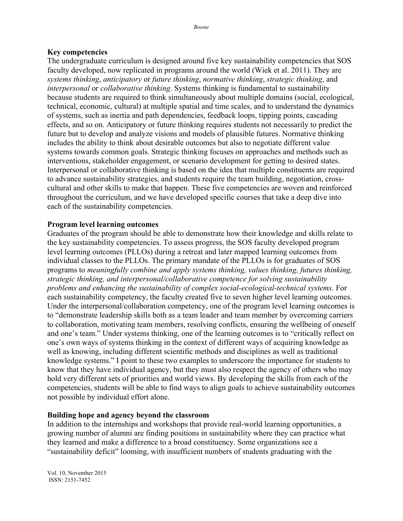#### **Key competencies**

The undergraduate curriculum is designed around five key sustainability competencies that SOS faculty developed, now replicated in programs around the world (Wiek et al. 2011). They are *systems thinking*, *anticipatory* or *future thinking*, *normative thinking*, *strategic thinking*, and *interpersonal* or *collaborative thinking*. Systems thinking is fundamental to sustainability because students are required to think simultaneously about multiple domains (social, ecological, technical, economic, cultural) at multiple spatial and time scales, and to understand the dynamics of systems, such as inertia and path dependencies, feedback loops, tipping points, cascading effects, and so on. Anticipatory or future thinking requires students not necessarily to predict the future but to develop and analyze visions and models of plausible futures. Normative thinking includes the ability to think about desirable outcomes but also to negotiate different value systems towards common goals. Strategic thinking focuses on approaches and methods such as interventions, stakeholder engagement, or scenario development for getting to desired states. Interpersonal or collaborative thinking is based on the idea that multiple constituents are required to advance sustainability strategies, and students require the team building, negotiation, crosscultural and other skills to make that happen. These five competencies are woven and reinforced throughout the curriculum, and we have developed specific courses that take a deep dive into each of the sustainability competencies.

### **Program level learning outcomes**

Graduates of the program should be able to demonstrate how their knowledge and skills relate to the key sustainability competencies. To assess progress, the SOS faculty developed program level learning outcomes (PLLOs) during a retreat and later mapped learning outcomes from individual classes to the PLLOs. The primary mandate of the PLLOs is for graduates of SOS programs to *meaningfully combine and apply systems thinking, values thinking, futures thinking, strategic thinking, and interpersonal/collaborative competence for solving sustainability problems and enhancing the sustainability of complex social-ecological-technical systems*. For each sustainability competency, the faculty created five to seven higher level learning outcomes. Under the interpersonal/collaboration competency, one of the program level learning outcomes is to "demonstrate leadership skills both as a team leader and team member by overcoming carriers to collaboration, motivating team members, resolving conflicts, ensuring the wellbeing of oneself and one's team." Under systems thinking, one of the learning outcomes is to "critically reflect on one's own ways of systems thinking in the context of different ways of acquiring knowledge as well as knowing, including different scientific methods and disciplines as well as traditional knowledge systems." I point to these two examples to underscore the importance for students to know that they have individual agency, but they must also respect the agency of others who may hold very different sets of priorities and world views. By developing the skills from each of the competencies, students will be able to find ways to align goals to achieve sustainability outcomes not possible by individual effort alone.

#### **Building hope and agency beyond the classroom**

In addition to the internships and workshops that provide real-world learning opportunities, a growing number of alumni are finding positions in sustainability where they can practice what they learned and make a difference to a broad constituency. Some organizations see a "sustainability deficit" looming, with insufficient numbers of students graduating with the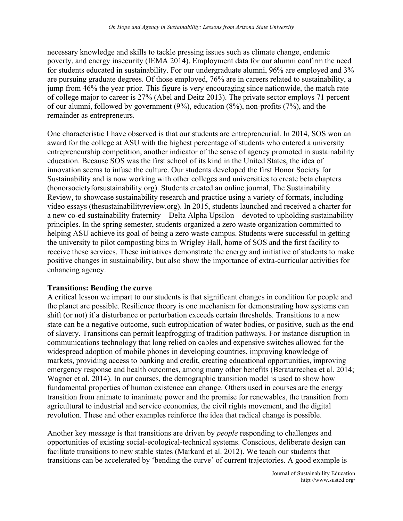necessary knowledge and skills to tackle pressing issues such as climate change, endemic poverty, and energy insecurity (IEMA 2014). Employment data for our alumni confirm the need for students educated in sustainability. For our undergraduate alumni, 96% are employed and 3% are pursuing graduate degrees. Of those employed, 76% are in careers related to sustainability, a jump from 46% the year prior. This figure is very encouraging since nationwide, the match rate of college major to career is 27% (Abel and Deitz 2013). The private sector employs 71 percent of our alumni, followed by government (9%), education (8%), non-profits (7%), and the remainder as entrepreneurs.

One characteristic I have observed is that our students are entrepreneurial. In 2014, SOS won an award for the college at ASU with the highest percentage of students who entered a university entrepreneurship competition, another indicator of the sense of agency promoted in sustainability education. Because SOS was the first school of its kind in the United States, the idea of innovation seems to infuse the culture. Our students developed the first Honor Society for Sustainability and is now working with other colleges and universities to create beta chapters (honorsocietyforsustainability.org). Students created an online journal, The Sustainability Review, to showcase sustainability research and practice using a variety of formats, including video essays (thesustainabilityreview.org). In 2015, students launched and received a charter for a new co-ed sustainability fraternity—Delta Alpha Upsilon—devoted to upholding sustainability principles. In the spring semester, students organized a zero waste organization committed to helping ASU achieve its goal of being a zero waste campus. Students were successful in getting the university to pilot composting bins in Wrigley Hall, home of SOS and the first facility to receive these services. These initiatives demonstrate the energy and initiative of students to make positive changes in sustainability, but also show the importance of extra-curricular activities for enhancing agency.

#### **Transitions: Bending the curve**

A critical lesson we impart to our students is that significant changes in condition for people and the planet are possible. Resilience theory is one mechanism for demonstrating how systems can shift (or not) if a disturbance or perturbation exceeds certain thresholds. Transitions to a new state can be a negative outcome, such eutrophication of water bodies, or positive, such as the end of slavery. Transitions can permit leapfrogging of tradition pathways. For instance disruption in communications technology that long relied on cables and expensive switches allowed for the widespread adoption of mobile phones in developing countries, improving knowledge of markets, providing access to banking and credit, creating educational opportunities, improving emergency response and health outcomes, among many other benefits (Beratarrechea et al. 2014; Wagner et al. 2014). In our courses, the demographic transition model is used to show how fundamental properties of human existence can change. Others used in courses are the energy transition from animate to inanimate power and the promise for renewables, the transition from agricultural to industrial and service economies, the civil rights movement, and the digital revolution. These and other examples reinforce the idea that radical change is possible.

Another key message is that transitions are driven by *people* responding to challenges and opportunities of existing social-ecological-technical systems. Conscious, deliberate design can facilitate transitions to new stable states (Markard et al. 2012). We teach our students that transitions can be accelerated by 'bending the curve' of current trajectories. A good example is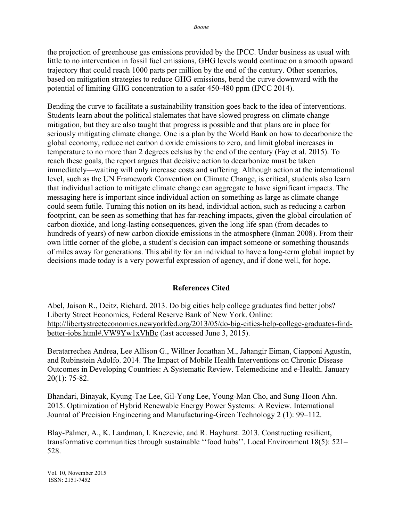the projection of greenhouse gas emissions provided by the IPCC. Under business as usual with little to no intervention in fossil fuel emissions, GHG levels would continue on a smooth upward trajectory that could reach 1000 parts per million by the end of the century. Other scenarios, based on mitigation strategies to reduce GHG emissions, bend the curve downward with the potential of limiting GHG concentration to a safer 450-480 ppm (IPCC 2014).

Bending the curve to facilitate a sustainability transition goes back to the idea of interventions. Students learn about the political stalemates that have slowed progress on climate change mitigation, but they are also taught that progress is possible and that plans are in place for seriously mitigating climate change. One is a plan by the World Bank on how to decarbonize the global economy, reduce net carbon dioxide emissions to zero, and limit global increases in temperature to no more than 2 degrees celsius by the end of the century (Fay et al. 2015). To reach these goals, the report argues that decisive action to decarbonize must be taken immediately—waiting will only increase costs and suffering. Although action at the international level, such as the UN Framework Convention on Climate Change, is critical, students also learn that individual action to mitigate climate change can aggregate to have significant impacts. The messaging here is important since individual action on something as large as climate change could seem futile. Turning this notion on its head, individual action, such as reducing a carbon footprint, can be seen as something that has far-reaching impacts, given the global circulation of carbon dioxide, and long-lasting consequences, given the long life span (from decades to hundreds of years) of new carbon dioxide emissions in the atmosphere (Inman 2008). From their own little corner of the globe, a student's decision can impact someone or something thousands of miles away for generations. This ability for an individual to have a long-term global impact by decisions made today is a very powerful expression of agency, and if done well, for hope.

## **References Cited**

Abel, Jaison R., Deitz, Richard. 2013. Do big cities help college graduates find better jobs? Liberty Street Economics, Federal Reserve Bank of New York. Online: http://libertystreeteconomics.newyorkfed.org/2013/05/do-big-cities-help-college-graduates-findbetter-jobs.html#.VW9Yw1xVhBc (last accessed June 3, 2015).

Beratarrechea Andrea, Lee Allison G., Willner Jonathan M., Jahangir Eiman, Ciapponi Agustín, and Rubinstein Adolfo. 2014. The Impact of Mobile Health Interventions on Chronic Disease Outcomes in Developing Countries: A Systematic Review. Telemedicine and e-Health. January 20(1): 75-82.

Bhandari, Binayak, Kyung-Tae Lee, Gil-Yong Lee, Young-Man Cho, and Sung-Hoon Ahn. 2015. Optimization of Hybrid Renewable Energy Power Systems: A Review. International Journal of Precision Engineering and Manufacturing-Green Technology 2 (1): 99–112.

Blay-Palmer, A., K. Landman, I. Knezevic, and R. Hayhurst. 2013. Constructing resilient, transformative communities through sustainable ''food hubs''. Local Environment 18(5): 521– 528.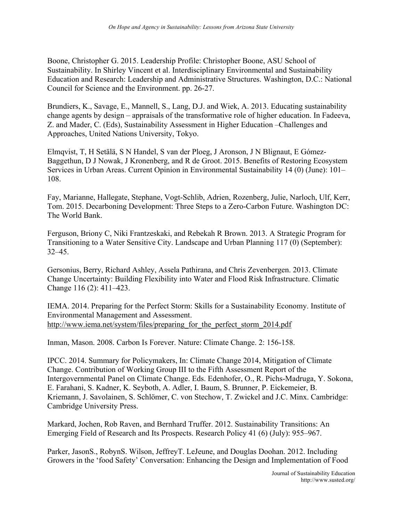Boone, Christopher G. 2015. Leadership Profile: Christopher Boone, ASU School of Sustainability. In Shirley Vincent et al. Interdisciplinary Environmental and Sustainability Education and Research: Leadership and Administrative Structures. Washington, D.C.: National Council for Science and the Environment. pp. 26-27.

Brundiers, K., Savage, E., Mannell, S., Lang, D.J. and Wiek, A. 2013. Educating sustainability change agents by design – appraisals of the transformative role of higher education. In Fadeeva, Z. and Mader, C. (Eds), Sustainability Assessment in Higher Education –Challenges and Approaches, United Nations University, Tokyo.

Elmqvist, T, H Setälä, S N Handel, S van der Ploeg, J Aronson, J N Blignaut, E Gómez-Baggethun, D J Nowak, J Kronenberg, and R de Groot. 2015. Benefits of Restoring Ecosystem Services in Urban Areas. Current Opinion in Environmental Sustainability 14 (0) (June): 101– 108.

Fay, Marianne, Hallegate, Stephane, Vogt-Schlib, Adrien, Rozenberg, Julie, Narloch, Ulf, Kerr, Tom. 2015. Decarboning Development: Three Steps to a Zero-Carbon Future. Washington DC: The World Bank.

Ferguson, Briony C, Niki Frantzeskaki, and Rebekah R Brown. 2013. A Strategic Program for Transitioning to a Water Sensitive City. Landscape and Urban Planning 117 (0) (September): 32–45.

Gersonius, Berry, Richard Ashley, Assela Pathirana, and Chris Zevenbergen. 2013. Climate Change Uncertainty: Building Flexibility into Water and Flood Risk Infrastructure. Climatic Change 116 (2): 411–423.

IEMA. 2014. Preparing for the Perfect Storm: Skills for a Sustainability Economy. Institute of Environmental Management and Assessment. http://www.iema.net/system/files/preparing for the perfect storm 2014.pdf

Inman, Mason. 2008. Carbon Is Forever. Nature: Climate Change. 2: 156-158.

IPCC. 2014. Summary for Policymakers, In: Climate Change 2014, Mitigation of Climate Change. Contribution of Working Group III to the Fifth Assessment Report of the Intergovernmental Panel on Climate Change. Eds. Edenhofer, O., R. Pichs-Madruga, Y. Sokona, E. Farahani, S. Kadner, K. Seyboth, A. Adler, I. Baum, S. Brunner, P. Eickemeier, B. Kriemann, J. Savolainen, S. Schlömer, C. von Stechow, T. Zwickel and J.C. Minx. Cambridge: Cambridge University Press.

Markard, Jochen, Rob Raven, and Bernhard Truffer. 2012. Sustainability Transitions: An Emerging Field of Research and Its Prospects. Research Policy 41 (6) (July): 955–967.

Parker, JasonS., RobynS. Wilson, JeffreyT. LeJeune, and Douglas Doohan. 2012. Including Growers in the 'food Safety' Conversation: Enhancing the Design and Implementation of Food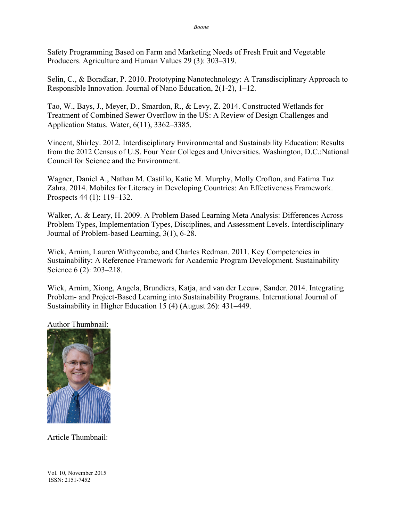Safety Programming Based on Farm and Marketing Needs of Fresh Fruit and Vegetable Producers. Agriculture and Human Values 29 (3): 303–319.

Selin, C., & Boradkar, P. 2010. Prototyping Nanotechnology: A Transdisciplinary Approach to Responsible Innovation. Journal of Nano Education, 2(1-2), 1–12.

Tao, W., Bays, J., Meyer, D., Smardon, R., & Levy, Z. 2014. Constructed Wetlands for Treatment of Combined Sewer Overflow in the US: A Review of Design Challenges and Application Status. Water, 6(11), 3362–3385.

Vincent, Shirley. 2012. Interdisciplinary Environmental and Sustainability Education: Results from the 2012 Census of U.S. Four Year Colleges and Universities. Washington, D.C.:National Council for Science and the Environment.

Wagner, Daniel A., Nathan M. Castillo, Katie M. Murphy, Molly Crofton, and Fatima Tuz Zahra. 2014. Mobiles for Literacy in Developing Countries: An Effectiveness Framework. Prospects 44 (1): 119–132.

Walker, A. & Leary, H. 2009. A Problem Based Learning Meta Analysis: Differences Across Problem Types, Implementation Types, Disciplines, and Assessment Levels. Interdisciplinary Journal of Problem-based Learning, 3(1), 6-28.

Wiek, Arnim, Lauren Withycombe, and Charles Redman. 2011. Key Competencies in Sustainability: A Reference Framework for Academic Program Development. Sustainability Science 6 (2): 203–218.

Wiek, Arnim, Xiong, Angela, Brundiers, Katja, and van der Leeuw, Sander. 2014. Integrating Problem- and Project-Based Learning into Sustainability Programs. International Journal of Sustainability in Higher Education 15 (4) (August 26): 431–449.

Author Thumbnail:



Article Thumbnail:

Vol. 10, November 2015 ISSN: 2151-7452